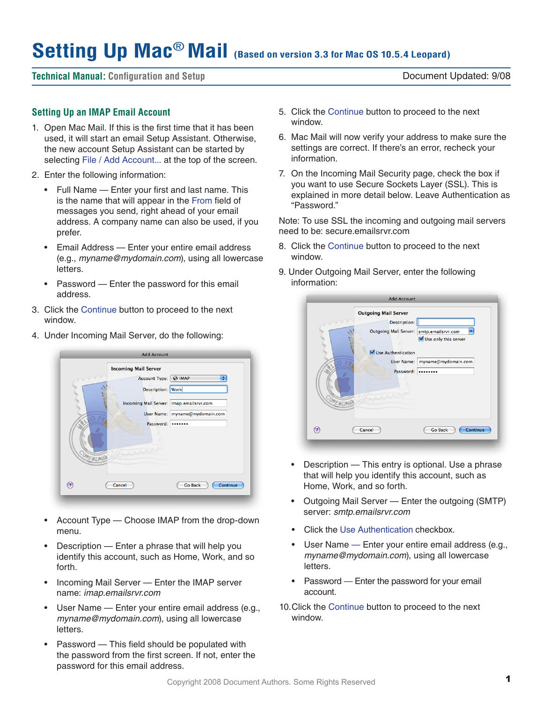# **Setting Up Mac**® **Mail (Based on version 3.3 for Mac OS 10.5.4 Leopard)**

## **Technical Manual: Configuration and Setup** Document Updated: 9/08

## **Setting Up an IMAP Email Account**

- 1. Open Mac Mail. If this is the first time that it has been used, it will start an email Setup Assistant. Otherwise, the new account Setup Assistant can be started by selecting File / Add Account... at the top of the screen.
- 2. Enter the following information:
	- • Full Name Enter your first and last name. This is the name that will appear in the From field of messages you send, right ahead of your email address. A company name can also be used, if you prefer.
	- Email Address Enter your entire email address (e.g., *myname@mydomain.com*), using all lowercase letters.
	- Password Enter the password for this email address.
- 3. Click the Continue button to proceed to the next window.
- 4. Under Incoming Mail Server, do the following:



- Account Type Choose IMAP from the drop-down menu.
- Description  $-$  Enter a phrase that will help you identify this account, such as Home, Work, and so forth.
- Incoming Mail Server  $-$  Enter the IMAP server name: *imap.emailsrvr.com*
- User Name Enter your entire email address (e.g., *myname@mydomain.com*), using all lowercase letters.
- $P$ assword This field should be populated with the password from the first screen. If not, enter the password for this email address.
- 5. Click the Continue button to proceed to the next window.
- 6. Mac Mail will now verify your address to make sure the settings are correct. If there's an error, recheck your information.
- 7. On the Incoming Mail Security page, check the box if you want to use Secure Sockets Layer (SSL). This is explained in more detail below. Leave Authentication as "Password."

Note: To use SSL the incoming and outgoing mail servers need to be: secure.emailsrvr.com

- 8. Click the Continue button to proceed to the next window.
- 9. Under Outgoing Mail Server, enter the following information:



- Description  $-$  This entry is optional. Use a phrase that will help you identify this account, such as Home, Work, and so forth.
- Outgoing Mail Server Enter the outgoing (SMTP) server: *smtp.emailsrvr.com*
- • Click the Use Authentication checkbox.
- User Name Enter your entire email address (e.g., *myname@mydomain.com*), using all lowercase letters.
- Password Enter the password for your email account.
- 10. Click the Continue button to proceed to the next window.